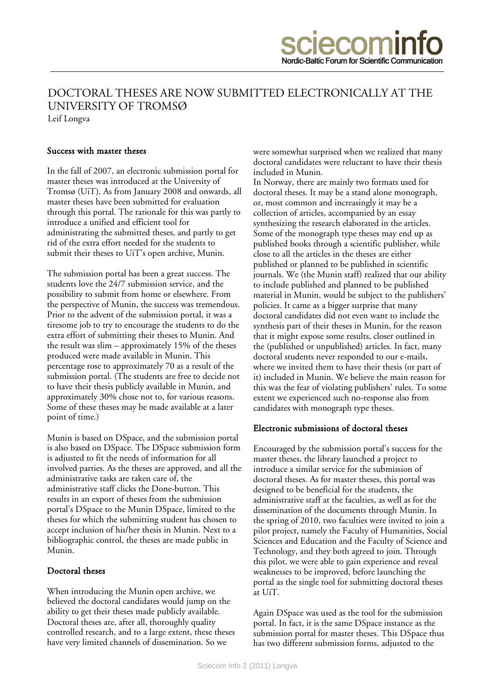## UNIVERSITY OF TROMSØ DOCTORAL THESES ARE NOW SUBMITTED ELECTRONICALLY AT THE

Leif Longva

## Success with master theses

In the fall of 2007, an electronic submission portal for master theses was introduced at the University of Tromsø (UiT). As from January 2008 and onwards, all master theses have been submitted for evaluation through this portal. The rationale for this was partly to introduce a unified and efficient tool for administrating the submitted theses, and partly to get rid of the extra effort needed for the students to submit their theses to UiT's open archive, Munin.

The submission portal has been a great success. The students love the 24/7 submission service, and the possibility to submit from home or elsewhere. From the perspective of Munin, the success was tremendous. Prior to the advent of the submission portal, it was a tiresome job to try to encourage the students to do the extra effort of submitting their theses to Munin. And the result was slim – approximately 15% of the theses produced were made available in Munin. This percentage rose to approximately 70 as a result of the submission portal. (The students are free to decide not to have their thesis publicly available in Munin, and approximately 30% chose not to, for various reasons. Some of these theses may be made available at a later point of time.)

Munin is based on DSpace, and the submission portal is also based on DSpace. The DSpace submission form is adjusted to fit the needs of information for all involved parties. As the theses are approved, and all the administrative tasks are taken care of, the administrative staff clicks the Done-button. This results in an export of theses from the submission portal's DSpace to the Munin DSpace, limited to the theses for which the submitting student has chosen to accept inclusion of his/her thesis in Munin. Next to a bibliographic control, the theses are made public in Munin.

## Doctoral theses

When introducing the Munin open archive, we believed the doctoral candidates would jump on the ability to get their theses made publicly available. Doctoral theses are, after all, thoroughly quality controlled research, and to a large extent, these theses have very limited channels of dissemination. So we

were somewhat surprised when we realized that many doctoral candidates were reluctant to have their thesis included in Munin.

In Norway, there are mainly two formats used for doctoral theses. It may be a stand alone monograph, or, most common and increasingly it may be a collection of articles, accompanied by an essay synthesizing the research elaborated in the articles. Some of the monograph type theses may end up as published books through a scientific publisher, while close to all the articles in the theses are either published or planned to be published in scientific journals. We (the Munin staff) realized that our ability to include published and planned to be published material in Munin, would be subject to the publishers' policies. It came as a bigger surprise that many doctoral candidates did not even want to include the synthesis part of their theses in Munin, for the reason that it might expose some results, closer outlined in the (published or unpublished) articles. In fact, many doctoral students never responded to our e-mails, where we invited them to have their thesis (or part of it) included in Munin. We believe the main reason for this was the fear of violating publishers' rules. To some extent we experienced such no-response also from candidates with monograph type theses.

## Electronic submissions of doctoral theses

Encouraged by the submission portal's success for the master theses, the library launched a project to introduce a similar service for the submission of doctoral theses. As for master theses, this portal was designed to be beneficial for the students, the administrative staff at the faculties, as well as for the dissemination of the documents through Munin. In the spring of 2010, two faculties were invited to join a pilot project, namely the Faculty of Humanities, Social Sciences and Education and the Faculty of Science and Technology, and they both agreed to join. Through this pilot, we were able to gain experience and reveal weaknesses to be improved, before launching the portal as the single tool for submitting doctoral theses at UiT.

Again DSpace was used as the tool for the submission portal. In fact, it is the same DSpace instance as the submission portal for master theses. This DSpace thus has two different submission forms, adjusted to the